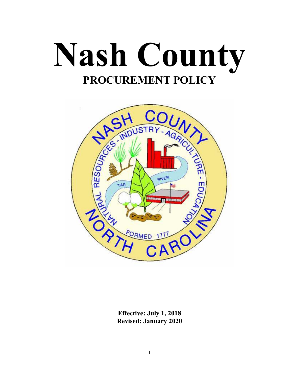



**Effective: July 1, 2018 Revised: January 2020**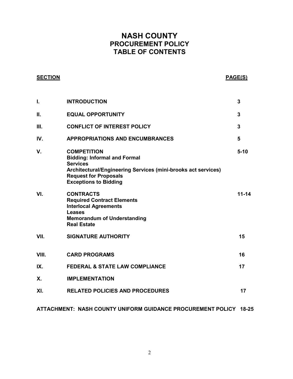# **NASH COUNTY PROCUREMENT POLICY TABLE OF CONTENTS**

# **SECTION PAGE(S)**

| I.    | <b>INTRODUCTION</b>                                                                                                                                                                                           | 3         |
|-------|---------------------------------------------------------------------------------------------------------------------------------------------------------------------------------------------------------------|-----------|
| П.    | <b>EQUAL OPPORTUNITY</b>                                                                                                                                                                                      | 3         |
| III.  | <b>CONFLICT OF INTEREST POLICY</b>                                                                                                                                                                            | 3         |
| IV.   | <b>APPROPRIATIONS AND ENCUMBRANCES</b>                                                                                                                                                                        | 5         |
| V.    | <b>COMPETITION</b><br><b>Bidding: Informal and Formal</b><br><b>Services</b><br>Architectural/Engineering Services (mini-brooks act services)<br><b>Request for Proposals</b><br><b>Exceptions to Bidding</b> | $5 - 10$  |
| VI.   | <b>CONTRACTS</b><br><b>Required Contract Elements</b><br><b>Interlocal Agreements</b><br><b>Leases</b><br><b>Memorandum of Understanding</b><br><b>Real Estate</b>                                            | $11 - 14$ |
| VII.  | <b>SIGNATURE AUTHORITY</b>                                                                                                                                                                                    | 15        |
| VIII. | <b>CARD PROGRAMS</b>                                                                                                                                                                                          | 16        |
| IX.   | <b>FEDERAL &amp; STATE LAW COMPLIANCE</b>                                                                                                                                                                     | 17        |
| Х.    | <b>IMPLEMENTATION</b>                                                                                                                                                                                         |           |
| XI.   | <b>RELATED POLICIES AND PROCEDURES</b>                                                                                                                                                                        | 17        |
|       |                                                                                                                                                                                                               |           |

#### **ATTACHMENT: NASH COUNTY UNIFORM GUIDANCE PROCUREMENT POLICY 18-25**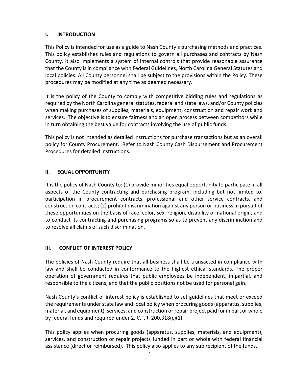# **I. INTRODUCTION**

This Policy is intended for use as a guide to Nash County's purchasing methods and practices. This policy establishes rules and regulations to govern all purchases and contracts by Nash County. It also implements a system of internal controls that provide reasonable assurance that the County is in compliance with Federal Guidelines, North Carolina General Statutes and local policies. All County personnel shall be subject to the provisions within the Policy. These procedures may be modified at any time as deemed necessary.

It is the policy of the County to comply with competitive bidding rules and regulations as required by the North Carolina general statutes, federal and state laws, and/or County policies when making purchases of supplies, materials, equipment, construction and repair work and services. The objective is to ensure fairness and an open process between competitors while in turn obtaining the best value for contracts involving the use of public funds.

This policy is not intended as detailed instructions for purchase transactions but as an overall policy for County Procurement. Refer to Nash County Cash Disbursement and Procurement Procedures for detailed instructions.

# **II. EQUAL OPPORTUNITY**

It is the policy of Nash County to: (1) provide minorities equal opportunity to participate in all aspects of the County contracting and purchasing program, including but not limited to, participation in procurement contracts, professional and other service contracts, and construction contracts; (2) prohibit discrimination against any person or business in pursuit of these opportunities on the basis of race, color, sex, religion, disability or national origin, and to conduct its contracting and purchasing programs so as to prevent any discrimination and to resolve all claims of such discrimination.

# **III. CONFLICT OF INTEREST POLICY**

The policies of Nash County require that all business shall be transacted in compliance with law and shall be conducted in conformance to the highest ethical standards. The proper operation of government requires that public employees be independent, impartial, and responsible to the citizens, and that the public positions not be used for personal gain.

Nash County's conflict of interest policy is established to set guidelines that meet or exceed the requirements under state law and local policy when procuring goods (apparatus, supplies, material, and equipment), services, and construction or repair project paid for in part or whole by federal funds and required under 2. C.F.R. 200.318(c)(1).

This policy applies when procuring goods (apparatus, supplies, materials, and equipment), services, and construction or repair projects funded in part or whole with federal financial assistance (direct or reimbursed). This policy also applies to any sub recipient of the funds.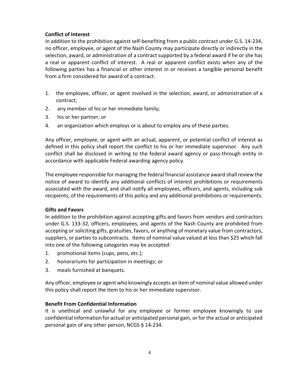# **Conflict of Interest**

In addition to the prohibition against self-benefiting from a public contract under G.S. 14-234, no officer, employee, or agent of the Nash County may participate directly or indirectly in the selection, award, or administration of a contract supported by a federal award if he or she has a real or apparent conflict of interest. A real or apparent conflict exists when any of the following parties has a financial or other interest in or receives a tangible personal benefit from a firm considered for award of a contract:

- 1. the employee, officer, or agent involved in the selection, award, or administration of a contract;
- 2. any member of his or her immediate family;
- 3. his or her partner; or
- 4. an organization which employs or is about to employ any of these parties.

Any officer, employee, or agent with an actual, apparent, or potential conflict of interest as defined in this policy shall report the conflict to his or her immediate supervisor. Any such conflict shall be disclosed in writing to the federal award agency or pass-through entity in accordance with applicable Federal awarding agency policy.

The employee responsible for managing the federal financial assistance award shall review the notice of award to identify any additional conflicts of interest prohibitions or requirements associated with the award, and shall notify all employees, officers, and agents, including sub recipients, of the requirements of this policy and any additional prohibitions or requirements.

#### **Gifts and Favors**

In addition to the prohibition against accepting gifts and favors from vendors and contractors under G.S. 133-32, officers, employees, and agents of the Nash County are prohibited from accepting or soliciting gifts, gratuities, favors, or anything of monetary value from contractors, suppliers, or parties to subcontracts. Items of nominal value valued at less than \$25 which fall into one of the following categories may be accepted:

- 1. promotional items (cups, pens, etc.);
- 2. honorariums for participation in meetings; or
- 3. meals furnished at banquets.

Any officer, employee or agent who knowingly accepts an item of nominal value allowed under this policy shall report the item to his or her immediate supervisor.

#### **Benefit From Confidential Information**

It is unethical and unlawful for any employee or former employee knowingly to use confidential information for actual or anticipated personal gain, or for the actual or anticipated personal gain of any other person, NCGS § 14-234.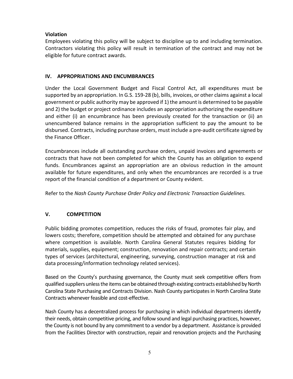# **Violation**

Employees violating this policy will be subject to discipline up to and including termination. Contractors violating this policy will result in termination of the contract and may not be eligible for future contract awards.

# **IV. APPROPRIATIONS AND ENCUMBRANCES**

Under the Local Government Budget and Fiscal Control Act, all expenditures must be supported by an appropriation. In G.S. 159-28 (b), bills, invoices, or other claims against a local government or public authority may be approved if 1) the amount is determined to be payable and 2) the budget or project ordinance includes an appropriation authorizing the expenditure and either (i) an encumbrance has been previously created for the transaction or (ii) an unencumbered balance remains in the appropriation sufficient to pay the amount to be disbursed. Contracts, including purchase orders, must include a pre-audit certificate signed by the Finance Officer.

Encumbrances include all outstanding purchase orders, unpaid invoices and agreements or contracts that have not been completed for which the County has an obligation to expend funds. Encumbrances against an appropriation are an obvious reduction in the amount available for future expenditures, and only when the encumbrances are recorded is a true report of the financial condition of a department or County evident.

Refer to the *Nash County Purchase Order Policy and Electronic Transaction Guidelines.* 

# **V. COMPETITION**

Public bidding promotes competition, reduces the risks of fraud, promotes fair play, and lowers costs; therefore, competition should be attempted and obtained for any purchase where competition is available. North Carolina General Statutes requires bidding for materials, supplies, equipment; construction, renovation and repair contracts; and certain types of services (architectural, engineering, surveying, construction manager at risk and data processing/information technology related services).

Based on the County's purchasing governance, the County must seek competitive offers from qualified suppliers unless the items can be obtained through existing contracts established by North Carolina State Purchasing and Contracts Division. Nash County participates in North Carolina State Contracts whenever feasible and cost-effective.

Nash County has a decentralized process for purchasing in which individual departments identify their needs, obtain competitive pricing, and follow sound and legal purchasing practices, however, the County is not bound by any commitment to a vendor by a department. Assistance is provided from the Facilities Director with construction, repair and renovation projects and the Purchasing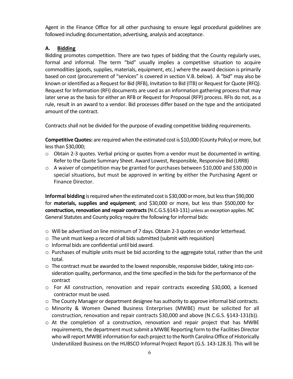Agent in the Finance Office for all other purchasing to ensure legal procedural guidelines are followed including documentation, advertising, analysis and acceptance.

# **A. Bidding**

Bidding promotes competition. There are two types of bidding that the County regularly uses, formal and informal. The term "bid" usually implies a competitive situation to acquire commodities (goods, supplies, materials, equipment, etc.) where the award decision is primarily based on cost (procurement of "services" is covered in section V.B. below). A "bid" may also be known or identified as a Request for Bid (RFB), Invitation to Bid (ITB) or Request for Quote (RFQ). Request for Information (RFI) documents are used as an information gathering process that may later serve as the basis for either an RFB or Request for Proposal (RFP) process. RFIs do not, as a rule, result in an award to a vendor. Bid processes differ based on the type and the anticipated amount of the contract.

Contracts shall not be divided for the purpose of evading competitive bidding requirements.

**Competitive Quotes:** are required when the estimated cost is \$10,000 (County Policy) or more, but less than \$30,000;

- $\circ$  Obtain 2-3 quotes. Verbal pricing or quotes from a vendor must be documented in writing. Refer to the Quote Summary Sheet. Award Lowest, Responsible, Responsive Bid (LRRB)
- o A waiver of competition may be granted for purchases between \$10,000 and \$30,000 in special situations, but must be approved in writing by either the Purchasing Agent or Finance Director.

**Informal bidding** is required when the estimated cost is \$30,000 or more, but less than \$90,000 for **materials, supplies and equipment**; and \$30,000 or more, but less than \$500,000 for **construction, renovation and repair contracts** (N.C.G.S.§143-131) unless an exception applies. NC General Statutes and County policy require the following for informal bids:

- o Will be advertised on line minimum of 7 days. Obtain 2-3 quotes on vendor letterhead.
- o The unit must keep a record of all bids submitted (submit with requisition)
- o Informal bids are confidential until bid award.
- o Purchases of multiple units must be bid according to the aggregate total, rather than the unit total.
- $\circ$  The contract must be awarded to the lowest responsible, responsive bidder, taking into consideration quality, performance, and the time specified in the bids for the performance of the contract
- o For All construction, renovation and repair contracts exceeding \$30,000, a licensed contractor must be used.
- $\circ$  The County Manager or department designee has authority to approve informal bid contracts.
- o Minority & Women Owned Business Enterprises (MWBE) must be solicited for all construction, renovation and repair contracts \$30,000 and above (N.C.G.S. §143-131(b)).
- $\circ$  At the completion of a construction, renovation and repair project that has MWBE requirements, the department must submit a MWBE Reporting form to the Facilities Director who will report MWBE information for each project to the North Carolina Office of Historically Underutilized Business on the HUBSCO Informal Project Report (G.S. 143-128.3). This will be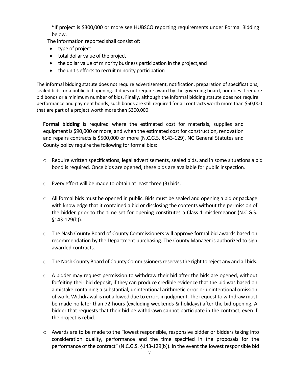\*If project is \$300,000 or more see HUBSCO reporting requirements under Formal Bidding below.

The information reported shall consist of:

- type of project
- total dollar value of the project
- the dollar value of minority business participation in the project, and
- the unit's efforts to recruit minority participation

The informal bidding statute does not require advertisement, notification, preparation of specifications, sealed bids, or a public bid opening. It does not require award by the governing board, nor does it require bid bonds or a minimum number of bids. Finally, although the informal bidding statute does not require performance and payment bonds, such bonds are still required for all contracts worth more than \$50,000 that are part of a project worth more than \$300,000.

**Formal bidding** is required where the estimated cost for materials, supplies and equipment is \$90,000 or more; and when the estimated cost for construction, renovation and repairs contracts is \$500,000 or more (N.C.G.S. §143-129). NC General Statutes and County policy require the following for formal bids:

- o Require written specifications, legal advertisements, sealed bids, and in some situations a bid bond is required. Once bids are opened, these bids are available for public inspection.
- o Every effort will be made to obtain at least three (3) bids.
- $\circ$  All formal bids must be opened in public. Bids must be sealed and opening a bid or package with knowledge that it contained a bid or disclosing the contents without the permission of the bidder prior to the time set for opening constitutes a Class 1 misdemeanor (N.C.G.S. §143-129(b)).
- $\circ$  The Nash County Board of County Commissioners will approve formal bid awards based on recommendation by the Department purchasing. The County Manager is authorized to sign awarded contracts.
- $\circ$  The Nash County Board of County Commissioners reserves the right to reject any and all bids.
- $\circ$  A bidder may request permission to withdraw their bid after the bids are opened, without forfeiting their bid deposit, if they can produce credible evidence that the bid was based on a mistake containing a substantial, unintentional arithmetic error or unintentional omission of work. Withdrawal is not allowed due to errors in judgment. The request to withdraw must be made no later than 72 hours (excluding weekends & holidays) after the bid opening. A bidder that requests that their bid be withdrawn cannot participate in the contract, even if the project is rebid.
- $\circ$  Awards are to be made to the "lowest responsible, responsive bidder or bidders taking into consideration quality, performance and the time specified in the proposals for the performance of the contract" (N.C.G.S. §143-129(b)). In the event the lowest responsible bid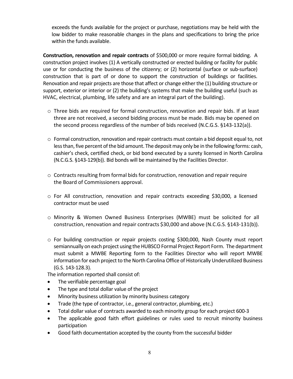exceeds the funds available for the project or purchase, negotiations may be held with the low bidder to make reasonable changes in the plans and specifications to bring the price within the funds available.

**Construction, renovation and repair contracts** of \$500,000 or more require formal bidding. A construction project involves (1) A vertically constructed or erected building or facility for public use or for conducting the business of the citizenry; or (2) horizontal (surface or sub-surface) construction that is part of or done to support the construction of buildings or facilities. Renovation and repair projects are those that affect or change either the (1) building structure or support, exterior or interior or (2) the building's systems that make the building useful (such as HVAC, electrical, plumbing, life safety and are an integral part of the building).

- o Three bids are required for formal construction, renovation and repair bids. If at least three are not received, a second bidding process must be made. Bids may be opened on the second process regardless of the number of bids received (N.C.G.S. §143-132(a)).
- o Formal construction, renovation and repair contracts must contain a bid deposit equal to, not less than, five percent of the bid amount. The deposit may only be in the following forms: cash, cashier's check, certified check, or bid bond executed by a surety licensed in North Carolina (N.C.G.S. §143-129(b)). Bid bonds will be maintained by the Facilities Director.
- $\circ$  Contracts resulting from formal bids for construction, renovation and repair require the Board of Commissioners approval.
- o For All construction, renovation and repair contracts exceeding \$30,000, a licensed contractor must be used
- o Minority & Women Owned Business Enterprises (MWBE) must be solicited for all construction, renovation and repair contracts \$30,000 and above (N.C.G.S. §143-131(b)).
- o For building construction or repair projects costing \$300,000, Nash County must report semiannually on each project using the HUBSCO Formal Project Report Form. The department must submit a MWBE Reporting form to the Facilities Director who will report MWBE information for each project to the North Carolina Office of Historically Underutilized Business (G.S. 143-128.3).

The information reported shall consist of:

- The verifiable percentage goal
- The type and total dollar value of the project
- Minority business utilization by minority business category
- Trade (the type of contractor, i.e., general contractor, plumbing, etc.)
- Total dollar value of contracts awarded to each minority group for each project 600-3
- The applicable good faith effort guidelines or rules used to recruit minority business participation
- Good faith documentation accepted by the county from the successful bidder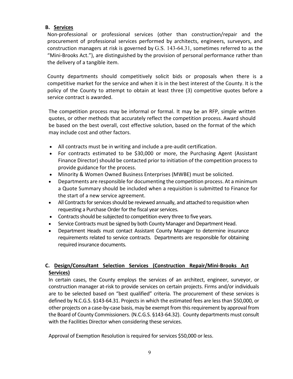# **B. Services**

Non-professional or professional services (other than construction/repair and the procurement of professional services performed by architects, engineers, surveyors, and construction managers at risk is governed by G.S. 143-64.31, sometimes referred to as the "Mini-Brooks Act."), are distinguished by the provision of personal performance rather than the delivery of a tangible item.

County departments should competitively solicit bids or proposals when there is a competitive market for the service and when it is in the best interest of the County. It is the policy of the County to attempt to obtain at least three (3) competitive quotes before a service contract is awarded.

The competition process may be informal or formal. It may be an RFP, simple written quotes, or other methods that accurately reflect the competition process. Award should be based on the best overall, cost effective solution, based on the format of the which may include cost and other factors.

- All contracts must be in writing and include a pre-audit certification.
- For contracts estimated to be \$30,000 or more, the Purchasing Agent (Assistant Finance Director) should be contacted prior to initiation of the competition process to provide guidance for the process.
- Minority & Women Owned Business Enterprises (MWBE) must be solicited.
- Departments are responsible for documenting the competition process. At a minimum a Quote Summary should be included when a requisition is submitted to Finance for the start of a new service agreement.
- All Contracts for services should be reviewed annually, and attached to requisition when requesting a Purchase Order for the fiscal year services.
- Contracts should be subjected to competition every three to five years.
- Service Contracts must be signed by both County Manager and Department Head.
- Department Heads must contact Assistant County Manager to determine insurance requirements related to service contracts. Departments are responsible for obtaining required insurance documents.

# **C. Design/Consultant Selection Services (Construction Repair/Mini-Brooks Act Services)**

In certain cases, the County employs the services of an architect, engineer, surveyor, or construction manager at-risk to provide services on certain projects. Firms and/or individuals are to be selected based on "best qualified" criteria. The procurement of these services is defined by N.C.G.S. §143-64.31. Projects in which the estimated fees are less than \$50,000, or other projects on a case-by-case basis, may be exempt from this requirement by approval from the Board of County Commissioners. (N.C.G.S. §143-64.32). County departments must consult with the Facilities Director when considering these services.

Approval of Exemption Resolution is required for services \$50,000 or less.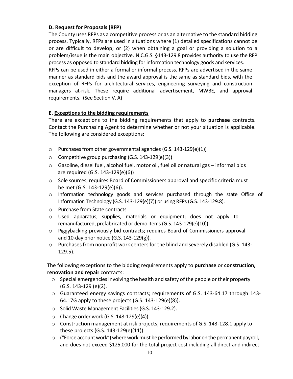# **D. Request for Proposals (RFP)**

The County uses RFPs as a competitive process or as an alternative to the standard bidding process. Typically, RFPs are used in situations where (1) detailed specifications cannot be or are difficult to develop; or (2) when obtaining a goal or providing a solution to a problem/issue is the main objective. N.C.G.S. §143-129.8 provides authority to use the RFP process as opposed to standard bidding for information technology goods and services. RFPs can be used in either a formal or informal process. RFPs are advertised in the same manner as standard bids and the award approval is the same as standard bids, with the exception of RFPs for architectural services, engineering surveying and construction managers at-risk. These require additional advertisement, MWBE, and approval requirements. (See Section V. A)

# **E. Exceptions to the bidding requirements**

There are exceptions to the bidding requirements that apply to **purchase** contracts. Contact the Purchasing Agent to determine whether or not your situation is applicable. The following are considered exceptions:

- $\circ$  Purchases from other governmental agencies (G.S. 143-129(e)(1))
- o Competitive group purchasing (G.S. 143-129(e)(3))
- o Gasoline, diesel fuel, alcohol fuel, motor oil, fuel oil or natural gas informal bids are required (G.S. 143-129(e)(6))
- o Sole sources; requires Board of Commissioners approval and specific criteria must be met (G.S. 143-129(e)(6)).
- o Information technology goods and services purchased through the state Office of Information Technology (G.S. 143-129(e)(7)) or using RFPs (G.S. 143-129.8).
- o Purchase from State contracts
- $\circ$  Used apparatus, supplies, materials or equipment; does not apply to remanufactured, prefabricated or demo items (G.S. 143-129(e)(10)).
- o Piggybacking previously bid contracts; requires Board of Commissioners approval and 10-day prior notice (G.S. 143-129(g)).
- o Purchases from nonprofit work centers for the blind and severely disabled (G.S. 143- 129.5).

The following exceptions to the bidding requirements apply to **purchase** or **construction, renovation and repair** contracts:

- $\circ$  Special emergencies involving the health and safety of the people or their property (G.S. 143-129 (e)(2).
- o Guaranteed energy savings contracts; requirements of G.S. 143-64.17 through 143- 64.17G apply to these projects (G.S. 143-129(e)(8)).
- o Solid Waste Management Facilities (G.S. 143-129.2).
- $\circ$  Change order work (G.S. 143-129(e)(4)).
- o Construction management at risk projects; requirements of G.S. 143-128.1 apply to these projects (G.S. 143-129(e)(11)).
- $\circ$  ("Force account work") where work must be performed by labor on the permanent payroll, and does not exceed \$125,000 for the total project cost including all direct and indirect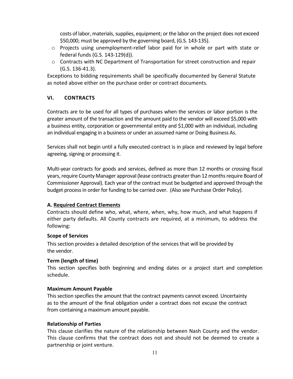costs of labor, materials, supplies, equipment; or the labor on the project does not exceed \$50,000; must be approved by the governing board, (G.S. 143-135).

- o Projects using unemployment-relief labor paid for in whole or part with state or federal funds (G.S. 143-129(d)).
- $\circ$  Contracts with NC Department of Transportation for street construction and repair (G.S. 136-41.3).

Exceptions to bidding requirements shall be specifically documented by General Statute as noted above either on the purchase order or contract documents.

# **VI. CONTRACTS**

Contracts are to be used for all types of purchases when the services or labor portion is the greater amount of the transaction and the amount paid to the vendor will exceed \$5,000 with a business entity, corporation or governmental entity and \$1,000 with an individual, including an individual engaging in a business or under an assumed name or Doing Business As.

Services shall not begin until a fully executed contract is in place and reviewed by legal before agreeing, signing or processing it.

Multi-year contracts for goods and services, defined as more than 12 months or crossing fiscal years, require County Manager approval (lease contracts greater than 12 months require Board of Commissioner Approval). Each year of the contract must be budgeted and approved through the budget process in order for funding to be carried over. (Also see Purchase Order Policy).

# **A. Required Contract Elements**

Contracts should define who, what, where, when, why, how much, and what happens if either party defaults. All County contracts are required, at a minimum, to address the following:

#### **Scope of Services**

This section provides a detailed description of the services that will be provided by the vendor.

#### **Term (length of time)**

This section specifies both beginning and ending dates or a project start and completion schedule.

#### **Maximum Amount Payable**

This section specifies the amount that the contract payments cannot exceed. Uncertainty as to the amount of the final obligation under a contract does not excuse the contract from containing a maximum amount payable.

#### **Relationship of Parties**

This clause clarifies the nature of the relationship between Nash County and the vendor. This clause confirms that the contract does not and should not be deemed to create a partnership or joint venture.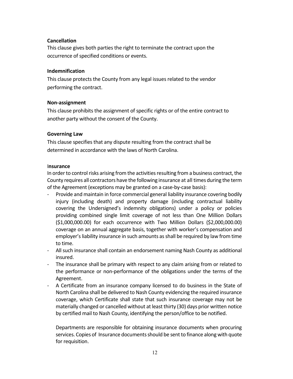#### **Cancellation**

This clause gives both parties the right to terminate the contract upon the occurrence of specified conditions or events.

#### **Indemnification**

This clause protects the County from any legal issues related to the vendor performing the contract.

#### **Non-assignment**

This clause prohibits the assignment of specific rights or of the entire contract to another party without the consent of the County.

# **Governing Law**

This clause specifies that any dispute resulting from the contract shall be determined in accordance with the laws of North Carolina.

#### I**nsurance**

In order to control risks arising from the activities resulting from a business contract, the County requires all contractors have the following insurance at all times during the term of the Agreement (exceptions may be granted on a case-by-case basis):

- Provide and maintain in force commercial general liability insurance covering bodily injury (including death) and property damage (including contractual liability covering the Undersigned's indemnity obligations) under a policy or policies providing combined single limit coverage of not less than One Million Dollars (\$1,000,000.00) for each occurrence with Two Million Dollars (\$2,000,000.00) coverage on an annual aggregate basis, together with worker's compensation and employer's liability insurance in such amounts as shall be required by law from time to time.
- All such insurance shall contain an endorsement naming Nash County as additional insured.
- The insurance shall be primary with respect to any claim arising from or related to the performance or non-performance of the obligations under the terms of the Agreement.
- A Certificate from an insurance company licensed to do business in the State of North Carolina shall be delivered to Nash County evidencing the required insurance coverage, which Certificate shall state that such insurance coverage may not be materially changed or cancelled without at least thirty (30) days prior written notice by certified mail to Nash County, identifying the person/office to be notified.

Departments are responsible for obtaining insurance documents when procuring services. Copies of Insurance documents should be sent to finance along with quote for requisition.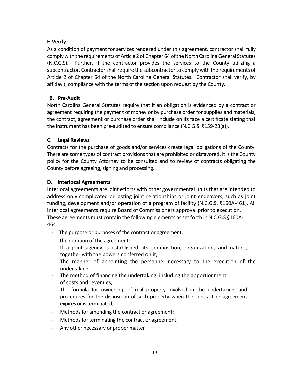# **E-Verify**

As a condition of payment for services rendered under this agreement, contractor shall fully comply with the requirements of Article 2 of Chapter 64 of the North Carolina General Statutes (N.C.G.S). Further, if the contractor provides the services to the County utilizing a subcontractor, Contractor shall require the subcontractor to comply with the requirements of Article 2 of Chapter 64 of the North Carolina General Statutes. Contractor shall verify, by affidavit, compliance with the terms of the section upon request by the County.

# **B. Pre-Audit**

North Carolina General Statutes require that if an obligation is evidenced by a contract or agreement requiring the payment of money or by purchase order for supplies and materials, the contract, agreement or purchase order shall include on its face a certificate stating that the instrument has been pre-audited to ensure compliance (N.C.G.S. §159-28(a)).

# **C. Legal Reviews**

Contracts for the purchase of goods and/or services create legal obligations of the County. There are some types of contract provisions that are prohibited or disfavored. It is the County policy for the County Attorney to be consulted and to review of contracts obligating the County before agreeing, signing and processing.

# **D. Interlocal Agreements**

Interlocal agreements are joint efforts with other governmental units that are intended to address only complicated or lasting joint relationships or joint endeavors, such as joint funding, development and/or operation of a program of facility (N.C.G.S. §160A-461). All interlocal agreements require Board of Commissioners approval prior to execution. These agreements must contain the following elements as set forth in N.C.G.S §160A-464:

- The purpose or purposes of the contract or agreement;
- The duration of the agreement;
- If a joint agency is established, its composition, organization, and nature, together with the powers conferred on it;
- The manner of appointing the personnel necessary to the execution of the undertaking;
- The method of financing the undertaking, including the apportionment of costs and revenues;
- The formula for ownership of real property involved in the undertaking, and procedures for the disposition of such property when the contract or agreement expires or is terminated;
- Methods for amending the contract or agreement;
- Methods for terminating the contract or agreement;
- Any other necessary or proper matter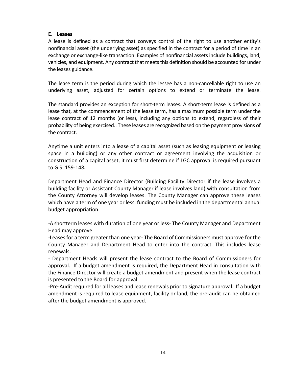#### **E. Leases**

A lease is defined as a contract that conveys control of the right to use another entity's nonfinancial asset (the underlying asset) as specified in the contract for a period of time in an exchange or exchange-like transaction. Examples of nonfinancial assets include buildings, land, vehicles, and equipment. Any contract that meets this definition should be accounted for under the leases guidance.

The lease term is the period during which the lessee has a non-cancellable right to use an underlying asset, adjusted for certain options to extend or terminate the lease.

The standard provides an exception for short-term leases. A short-term lease is defined as a lease that, at the commencement of the lease term, has a maximum possible term under the lease contract of 12 months (or less), including any options to extend, regardless of their probability of being exercised.. These leases are recognized based on the payment provisions of the contract.

Anytime a unit enters into a lease of a capital asset (such as leasing equipment or leasing space in a building) or any other contract or agreement involving the acquisition or construction of a capital asset, it must first determine if LGC approval is required pursuant to G.S. 159-148**.** 

Department Head and Finance Director (Building Facility Director if the lease involves a building facility or Assistant County Manager if lease involves land) with consultation from the County Attorney will develop leases. The County Manager can approve these leases which have a term of one year or less, funding must be included in the departmental annual budget appropriation.

-A shortterm leases with duration of one year or less- The County Manager and Department Head may approve.

-Leases for a term greater than one year- The Board of Commissioners must approve for the County Manager and Department Head to enter into the contract. This includes lease renewals.

- Department Heads will present the lease contract to the Board of Commissioners for approval. If a budget amendment is required, the Department Head in consultation with the Finance Director will create a budget amendment and present when the lease contract is presented to the Board for approval

-Pre-Audit required for all leases and lease renewals prior to signature approval. If a budget amendment is required to lease equipment, facility or land, the pre-audit can be obtained after the budget amendment is approved.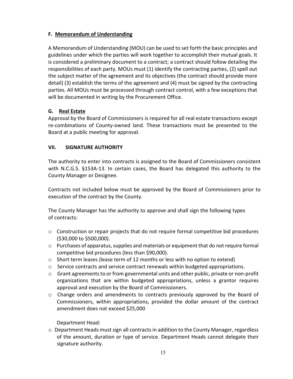# **F. Memorandum of Understanding**

A Memorandum of Understanding (MOU) can be used to set forth the basic principles and guidelines under which the parties will work together to accomplish their mutual goals. It is considered a preliminary document to a contract; a contract should follow detailing the responsibilities of each party. MOUs must (1) identify the contracting parties, (2) spell out the subject matter of the agreement and its objectives (the contract should provide more detail) (3) establish the terms of the agreement and (4) must be signed by the contracting parties. All MOUs must be processed through contract control, with a few exceptions that will be documented in writing by the Procurement Office.

# **G. Real Estate**

Approval by the Board of Commissioners is required for all real estate transactions except re-combinations of County-owned land. These transactions must be presented to the Board at a public meeting for approval.

# **VII. SIGNATURE AUTHORITY**

The authority to enter into contracts is assigned to the Board of Commissioners consistent with N.C.G.S. §153A-13. In certain cases, the Board has delegated this authority to the County Manager or Designee.

Contracts not included below must be approved by the Board of Commissioners prior to execution of the contract by the County.

The County Manager has the authority to approve and shall sign the following types of contracts:

- o Construction or repair projects that do not require formal competitive bid procedures (\$30,000 to \$500,000).
- o Purchases of apparatus, supplies and materials or equipment that do not require formal competitive bid procedures (less than \$90,000).
- o Short term leases (lease term of 12 months or less with no option to extend)
- $\circ$  Service contracts and service contract renewals within budgeted appropriations.
- $\circ$  Grant agreements to or from governmental units and other public, private or non-profit organizations that are within budgeted appropriations, unless a grantor requires approval and execution by the Board of Commissioners.
- o Change orders and amendments to contracts previously approved by the Board of Commissioners, within appropriations, provided the dollar amount of the contract amendment does not exceed \$25,000

Department Head:

o Department Heads must sign all contracts in addition to the County Manager, regardless of the amount, duration or type of service. Department Heads cannot delegate their signature authority.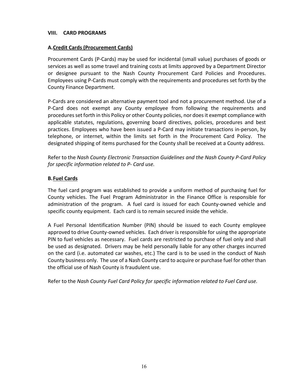#### **VIII. CARD PROGRAMS**

#### **A.Credit Cards (Procurement Cards)**

Procurement Cards (P-Cards) may be used for incidental (small value) purchases of goods or services as well as some travel and training costs at limits approved by a Department Director or designee pursuant to the Nash County Procurement Card Policies and Procedures. Employees using P-Cards must comply with the requirements and procedures set forth by the County Finance Department.

P-Cards are considered an alternative payment tool and not a procurement method. Use of a P-Card does not exempt any County employee from following the requirements and procedures set forth in this Policy or other County policies, nor does it exempt compliance with applicable statutes, regulations, governing board directives, policies, procedures and best practices. Employees who have been issued a P-Card may initiate transactions in-person, by telephone, or internet, within the limits set forth in the Procurement Card Policy. The designated shipping of items purchased for the County shall be received at a County address.

Refer to the *Nash County Electronic Transaction Guidelines and the Nash County P-Card Policy for specific information related to P- Card use.* 

#### **B.Fuel Cards**

The fuel card program was established to provide a uniform method of purchasing fuel for County vehicles. The Fuel Program Administrator in the Finance Office is responsible for administration of the program. A fuel card is issued for each County-owned vehicle and specific county equipment. Each card is to remain secured inside the vehicle.

A Fuel Personal Identification Number (PIN) should be issued to each County employee approved to drive County-owned vehicles. Each driver is responsible for using the appropriate PIN to fuel vehicles as necessary. Fuel cards are restricted to purchase of fuel only and shall be used as designated. Drivers may be held personally liable for any other charges incurred on the card (i.e. automated car washes, etc.) The card is to be used in the conduct of Nash County business only. The use of a Nash County card to acquire or purchase fuel for other than the official use of Nash County is fraudulent use.

Refer to the *Nash County Fuel Card Policy for specific information related to Fuel Card use.*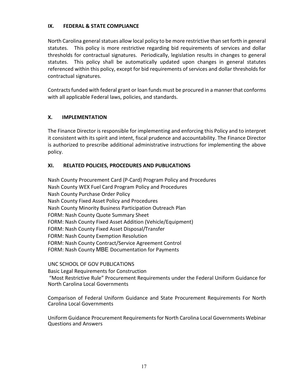#### **IX. FEDERAL & STATE COMPLIANCE**

North Carolina general statues allow local policy to be more restrictive than set forth in general statutes. This policy is more restrictive regarding bid requirements of services and dollar thresholds for contractual signatures. Periodically, legislation results in changes to general statutes. This policy shall be automatically updated upon changes in general statutes referenced within this policy, except for bid requirements of services and dollar thresholds for contractual signatures.

Contracts funded with federal grant or loan funds must be procured in a manner that conforms with all applicable Federal laws, policies, and standards.

#### **X. IMPLEMENTATION**

The Finance Director is responsible for implementing and enforcing this Policy and to interpret it consistent with its spirit and intent, fiscal prudence and accountability. The Finance Director is authorized to prescribe additional administrative instructions for implementing the above policy.

#### **XI. RELATED POLICIES, PROCEDURES AND PUBLICATIONS**

Nash County Procurement Card (P-Card) Program Policy and Procedures Nash County WEX Fuel Card Program Policy and Procedures Nash County Purchase Order Policy Nash County Fixed Asset Policy and Procedures Nash County Minority Business Participation Outreach Plan FORM: Nash County Quote Summary Sheet FORM: Nash County Fixed Asset Addition (Vehicle/Equipment) FORM: Nash County Fixed Asset Disposal/Transfer FORM: Nash County Exemption Resolution FORM: Nash County Contract/Service Agreement Control FORM: Nash County MBE Documentation for Payments

UNC SCHOOL OF GOV PUBLICATIONS

Basic Legal Requirements for Construction

 "Most Restrictive Rule" Procurement Requirements under the Federal Uniform Guidance for North Carolina Local Governments

Comparison of Federal Uniform Guidance and State Procurement Requirements For North Carolina Local Governments

Uniform Guidance Procurement Requirements for North Carolina Local Governments Webinar Questions and Answers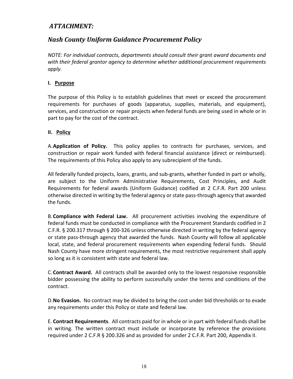# *ATTACHMENT:*

# *Nash County Uniform Guidance Procurement Policy*

*NOTE: For individual contracts, departments should consult their grant award documents and with their federal grantor agency to determine whether additional procurement requirements apply.* 

# **I. Purpose**

The purpose of this Policy is to establish guidelines that meet or exceed the procurement requirements for purchases of goods (apparatus, supplies, materials, and equipment), services, and construction or repair projects when federal funds are being used in whole or in part to pay for the cost of the contract.

# **II. Policy**

A.**Application of Policy.** This policy applies to contracts for purchases, services, and construction or repair work funded with federal financial assistance (direct or reimbursed). The requirements of this Policy also apply to any subrecipient of the funds.

All federally funded projects, loans, grants, and sub-grants, whether funded in part or wholly, are subject to the Uniform Administrative Requirements, Cost Principles, and Audit Requirements for federal awards (Uniform Guidance) codified at 2 C.F.R. Part 200 unless otherwise directed in writing by the federal agency or state pass-through agency that awarded the funds.

B.**Compliance with Federal Law.** All procurement activities involving the expenditure of federal funds must be conducted in compliance with the Procurement Standards codified in 2 C.F.R. § 200.317 through § 200-326 unless otherwise directed in writing by the federal agency or state pass-through agency that awarded the funds. Nash County will follow all applicable local, state, and federal procurement requirements when expending federal funds. Should Nash County have more stringent requirements, the most restrictive requirement shall apply so long as it is consistent with state and federal law.

C.**Contract Award.** All contracts shall be awarded only to the lowest responsive responsible bidder possessing the ability to perform successfully under the terms and conditions of the contract.

D.**No Evasion.** No contract may be divided to bring the cost under bid thresholds or to evade any requirements under this Policy or state and federal law.

E. **Contract Requirements**. All contracts paid for in whole or in part with federal funds shall be in writing. The written contract must include or incorporate by reference the provisions required under 2 C.F.R § 200.326 and as provided for under 2 C.F.R. Part 200, Appendix II.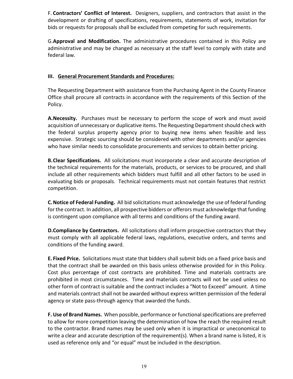F. **Contractors' Conflict of Interest.** Designers, suppliers, and contractors that assist in the development or drafting of specifications, requirements, statements of work, invitation for bids or requests for proposals shall be excluded from competing for such requirements.

G.**Approval and Modification.** The administrative procedures contained in this Policy are administrative and may be changed as necessary at the staff level to comply with state and federal law.

#### **III. General Procurement Standards and Procedures:**

The Requesting Department with assistance from the Purchasing Agent in the County Finance Office shall procure all contracts in accordance with the requirements of this Section of the Policy.

**A.Necessity.** Purchases must be necessary to perform the scope of work and must avoid acquisition of unnecessary or duplicative items. The Requesting Department should check with the federal surplus property agency prior to buying new items when feasible and less expensive. Strategic sourcing should be considered with other departments and/or agencies who have similar needs to consolidate procurements and services to obtain better pricing.

**B.Clear Specifications.** All solicitations must incorporate a clear and accurate description of the technical requirements for the materials, products, or services to be procured, and shall include all other requirements which bidders must fulfill and all other factors to be used in evaluating bids or proposals. Technical requirements must not contain features that restrict competition.

**C.Notice of Federal Funding.** All bid solicitations must acknowledge the use of federal funding for the contract. In addition, all prospective bidders or offerors must acknowledge that funding is contingent upon compliance with all terms and conditions of the funding award.

**D.Compliance by Contractors.** All solicitations shall inform prospective contractors that they must comply with all applicable federal laws, regulations, executive orders, and terms and conditions of the funding award.

**E. Fixed Price.** Solicitations must state that bidders shall submit bids on a fixed price basis and that the contract shall be awarded on this basis unless otherwise provided for in this Policy. Cost plus percentage of cost contracts are prohibited*.* Time and materials contracts are prohibited in most circumstances. Time and materials contracts will not be used unless no other form of contract is suitable and the contract includes a "Not to Exceed" amount. A time and materials contract shall not be awarded without express written permission of the federal agency or state pass-through agency that awarded the funds.

**F. Use of Brand Names.** When possible, performance or functional specifications are preferred to allow for more competition leaving the determination of how the reach the required result to the contractor. Brand names may be used only when it is impractical or uneconomical to write a clear and accurate description of the requirement(s). When a brand name is listed, it is used as reference only and "or equal" must be included in the description.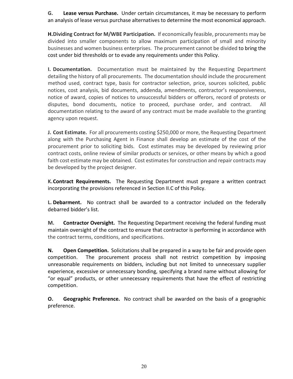**G. Lease versus Purchase.** Under certain circumstances, it may be necessary to perform an analysis of lease versus purchase alternatives to determine the most economical approach.

**H.Dividing Contract for M/WBE Participation.** If economically feasible, procurements may be divided into smaller components to allow maximum participation of small and minority businesses and women business enterprises. The procurement cannot be divided to bring the cost under bid thresholds or to evade any requirements under this Policy.

**I. Documentation.** Documentation must be maintained by the Requesting Department detailing the history of all procurements. The documentation should include the procurement method used, contract type, basis for contractor selection, price, sources solicited, public notices, cost analysis, bid documents, addenda, amendments, contractor's responsiveness, notice of award, copies of notices to unsuccessful bidders or offerors, record of protests or disputes, bond documents, notice to proceed, purchase order, and contract. All documentation relating to the award of any contract must be made available to the granting agency upon request.

**J. Cost Estimate.** For all procurements costing \$250,000 or more, the Requesting Department along with the Purchasing Agent in Finance shall develop an estimate of the cost of the procurement prior to soliciting bids. Cost estimates may be developed by reviewing prior contract costs, online review of similar products or services, or other means by which a good faith cost estimate may be obtained. Cost estimates for construction and repair contracts may be developed by the project designer.

**K.Contract Requirements.** The Requesting Department must prepare a written contract incorporating the provisions referenced in Section II.C of this Policy.

**L. Debarment.** No contract shall be awarded to a contractor included on the federally debarred bidder's list.

**M. Contractor Oversight.** The Requesting Department receiving the federal funding must maintain oversight of the contract to ensure that contractor is performing in accordance with the contract terms, conditions, and specifications.

**N. Open Competition.** Solicitations shall be prepared in a way to be fair and provide open competition. The procurement process shall not restrict competition by imposing unreasonable requirements on bidders, including but not limited to unnecessary supplier experience, excessive or unnecessary bonding, specifying a brand name without allowing for "or equal" products, or other unnecessary requirements that have the effect of restricting competition.

**O. Geographic Preference.** No contract shall be awarded on the basis of a geographic preference.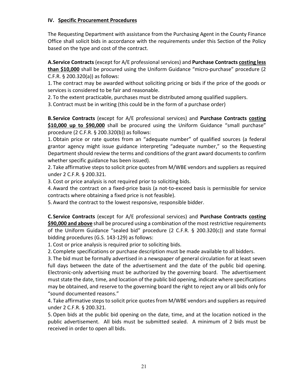#### **IV. Specific Procurement Procedures**

The Requesting Department with assistance from the Purchasing Agent in the County Finance Office shall solicit bids in accordance with the requirements under this Section of the Policy based on the type and cost of the contract.

**A.Service Contracts** (except for A/E professional services) and **Purchase Contracts costing less than \$10,000** shall be procured using the Uniform Guidance "micro-purchase" procedure (2 C.F.R. § 200.320(a)) as follows:

1. The contract may be awarded without soliciting pricing or bids if the price of the goods or services is considered to be fair and reasonable.

2. To the extent practicable, purchases must be distributed among qualified suppliers.

3. Contract must be in writing (this could be in the form of a purchase order)

**B.Service Contracts** (except for A/E professional services) and **Purchase Contracts costing \$10,000 up to \$90,000** shall be procured using the Uniform Guidance "small purchase" procedure (2 C.F.R. § 200.320(b)) as follows:

1.Obtain price or rate quotes from an "adequate number" of qualified sources (a federal grantor agency might issue guidance interpreting "adequate number," so the Requesting Department should review the terms and conditions of the grant award documents to confirm whether specific guidance has been issued).

2. Take affirmative steps to solicit price quotes from M/WBE vendors and suppliers as required under 2 C.F.R. § 200.321.

3. Cost or price analysis is not required prior to soliciting bids.

4.Award the contract on a fixed-price basis (a not-to-exceed basis is permissible for service contracts where obtaining a fixed price is not feasible).

5.Award the contract to the lowest responsive, responsible bidder.

**C.Service Contracts** (except for A/E professional services) and **Purchase Contracts costing \$90,000 and above** shall be procured using a combination of the most restrictive requirements of the Uniform Guidance "sealed bid" procedure (2 C.F.R. § 200.320(c)) and state formal bidding procedures (G.S. 143-129) as follows:

1. Cost or price analysis is required prior to soliciting bids.

2. Complete specifications or purchase description must be made available to all bidders.

3. The bid must be formally advertised in a newspaper of general circulation for at least seven full days between the date of the advertisement and the date of the public bid opening. Electronic-only advertising must be authorized by the governing board. The advertisement must state the date, time, and location of the public bid opening, indicate where specifications may be obtained, and reserve to the governing board the right to reject any or all bids only for "sound documented reasons."

4. Take affirmative steps to solicit price quotes from M/WBE vendors and suppliers as required under 2 C.F.R. § 200.321.

5.Open bids at the public bid opening on the date, time, and at the location noticed in the public advertisement. All bids must be submitted sealed. A minimum of 2 bids must be received in order to open all bids.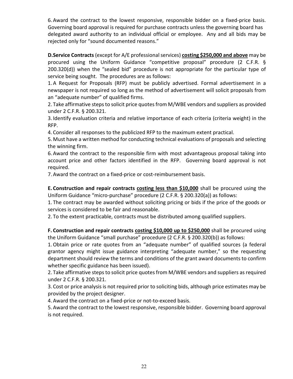6.Award the contract to the lowest responsive, responsible bidder on a fixed-price basis. Governing board approval is required for purchase contracts unless the governing board has delegated award authority to an individual official or employee. Any and all bids may be rejected only for "sound documented reasons."

**D.Service Contracts** (except for A/E professional services) **costing \$250,000 and above** may be procured using the Uniform Guidance "competitive proposal" procedure (2 C.F.R. § 200.320(d)) when the "sealed bid" procedure is not appropriate for the particular type of service being sought. The procedures are as follows:

1.A Request for Proposals (RFP) must be publicly advertised. Formal advertisement in a newspaper is not required so long as the method of advertisement will solicit proposals from an "adequate number" of qualified firms.

2. Take affirmative steps to solicit price quotes from M/WBE vendors and suppliers as provided under 2 C.F.R. § 200.321.

3. Identify evaluation criteria and relative importance of each criteria (criteria weight) in the RFP.

4. Consider all responses to the publicized RFP to the maximum extent practical.

5.Must have a written method for conducting technical evaluations of proposals and selecting the winning firm.

6.Award the contract to the responsible firm with most advantageous proposal taking into account price and other factors identified in the RFP. Governing board approval is not required.

7.Award the contract on a fixed-price or cost-reimbursement basis.

**E. Construction and repair contracts costing less than \$10,000** shall be procured using the Uniform Guidance "micro-purchase" procedure (2 C.F.R. § 200.320(a)) as follows:

1. The contract may be awarded without soliciting pricing or bids if the price of the goods or services is considered to be fair and reasonable.

2. To the extent practicable, contracts must be distributed among qualified suppliers.

**F. Construction and repair contracts costing \$10,000 up to \$250,000** shall be procured using the Uniform Guidance "small purchase" procedure (2 C.F.R. § 200.320(b)) as follows:

1.Obtain price or rate quotes from an "adequate number" of qualified sources (a federal grantor agency might issue guidance interpreting "adequate number," so the requesting department should review the terms and conditions of the grant award documents to confirm whether specific guidance has been issued).

2. Take affirmative steps to solicit price quotes from M/WBE vendors and suppliers as required under 2 C.F.R. § 200.321.

3. Cost or price analysis is not required prior to soliciting bids, although price estimates may be provided by the project designer.

4.Award the contract on a fixed-price or not-to-exceed basis.

5.Award the contract to the lowest responsive, responsible bidder. Governing board approval is not required.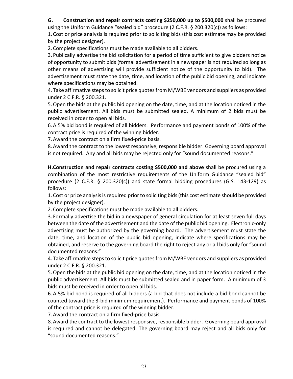# **G. Construction and repair contracts costing \$250,000 up to \$500,000** shall be procured

using the Uniform Guidance "sealed bid" procedure (2 C.F.R. § 200.320(c)) as follows:

1. Cost or price analysis is required prior to soliciting bids (this cost estimate may be provided by the project designer).

2. Complete specifications must be made available to all bidders.

3. Publically advertise the bid solicitation for a period of time sufficient to give bidders notice of opportunity to submit bids (formal advertisement in a newspaper is not required so long as other means of advertising will provide sufficient notice of the opportunity to bid). The advertisement must state the date, time, and location of the public bid opening, and indicate where specifications may be obtained.

4. Take affirmative steps to solicit price quotes from M/WBE vendors and suppliers as provided under 2 C.F.R. § 200.321.

5.Open the bids at the public bid opening on the date, time, and at the location noticed in the public advertisement. All bids must be submitted sealed. A minimum of 2 bids must be received in order to open all bids.

6.A 5% bid bond is required of all bidders. Performance and payment bonds of 100% of the contract price is required of the winning bidder.

7.Award the contract on a firm fixed-price basis.

8.Award the contract to the lowest responsive, responsible bidder. Governing board approval is not required. Any and all bids may be rejected only for "sound documented reasons."

**H.Construction and repair contracts costing \$500,000 and above** shall be procured using a combination of the most restrictive requirements of the Uniform Guidance "sealed bid" procedure (2 C.F.R. § 200.320(c)) and state formal bidding procedures (G.S. 143-129) as follows:

1. Cost or price analysis is required prior to soliciting bids (this cost estimate should be provided by the project designer).

2. Complete specifications must be made available to all bidders.

3. Formally advertise the bid in a newspaper of general circulation for at least seven full days between the date of the advertisement and the date of the public bid opening. Electronic-only advertising must be authorized by the governing board. The advertisement must state the date, time, and location of the public bid opening, indicate where specifications may be obtained, and reserve to the governing board the right to reject any or all bids only for "sound documented reasons."

4. Take affirmative steps to solicit price quotes from M/WBE vendors and suppliers as provided under 2 C.F.R. § 200.321.

5.Open the bids at the public bid opening on the date, time, and at the location noticed in the public advertisement. All bids must be submitted sealed and in paper form. A minimum of 3 bids must be received in order to open all bids.

6.A 5% bid bond is required of all bidders (a bid that does not include a bid bond cannot be counted toward the 3-bid minimum requirement). Performance and payment bonds of 100% of the contract price is required of the winning bidder.

7.Award the contract on a firm fixed-price basis.

8.Award the contract to the lowest responsive, responsible bidder. Governing board approval is required and cannot be delegated. The governing board may reject and all bids only for "sound documented reasons."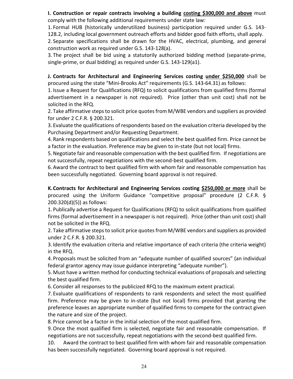**I. Construction or repair contracts involving a building costing \$300,000 and above** must comply with the following additional requirements under state law:

1. Formal HUB (historically underutilized business) participation required under G.S. 143- 128.2, including local government outreach efforts and bidder good faith efforts, shall apply.

2. Separate specifications shall be drawn for the HVAC, electrical, plumbing, and general construction work as required under G.S. 143-128(a).

3. The project shall be bid using a statutorily authorized bidding method (separate-prime, single-prime, or dual bidding) as required under G.S. 143-129(a1).

**J. Contracts for Architectural and Engineering Services costing under \$250,000** shall be procured using the state "Mini-Brooks Act" requirements (G.S. 143-64.31) as follows:

1. Issue a Request for Qualifications (RFQ) to solicit qualifications from qualified firms (formal advertisement in a newspaper is not required). Price (other than unit cost) shall not be solicited in the RFQ.

2. Take affirmative steps to solicit price quotes from M/WBE vendors and suppliers as provided for under 2 C.F.R. § 200.321.

3. Evaluate the qualifications of respondents based on the evaluation criteria developed by the Purchasing Department and/or Requesting Department.

4. Rank respondents based on qualifications and select the best qualified firm. Price cannot be a factor in the evaluation. Preference may be given to in-state (but not local) firms.

5.Negotiate fair and reasonable compensation with the best qualified firm. If negotiations are not successfully, repeat negotiations with the second-best qualified firm.

6.Award the contract to best qualified firm with whom fair and reasonable compensation has been successfully negotiated. Governing board approval is not required.

**K.Contracts for Architectural and Engineering Services costing \$250,000 or more** shall be procured using the Uniform Guidance "competitive proposal" procedure (2 C.F.R. § 200.320(d)(5)) as follows:

1. Publically advertise a Request for Qualifications (RFQ) to solicit qualifications from qualified firms (formal advertisement in a newspaper is not required). Price (other than unit cost) shall not be solicited in the RFQ.

2. Take affirmative steps to solicit price quotes from M/WBE vendors and suppliers as provided under 2 C.F.R. § 200.321.

3. Identify the evaluation criteria and relative importance of each criteria (the criteria weight) in the RFQ.

4. Proposals must be solicited from an "adequate number of qualified sources" (an individual federal grantor agency may issue guidance interpreting "adequate number").

5.Must have a written method for conducting technical evaluations of proposals and selecting the best qualified firm.

6. Consider all responses to the publicized RFQ to the maximum extent practical.

7. Evaluate qualifications of respondents to rank respondents and select the most qualified firm. Preference may be given to in-state (but not local) firms provided that granting the preference leaves an appropriate number of qualified firms to compete for the contract given the nature and size of the project.

8. Price cannot be a factor in the initial selection of the most qualified firm.

9.Once the most qualified firm is selected, negotiate fair and reasonable compensation. If negotiations are not successfully, repeat negotiations with the second-best qualified firm.

10. Award the contract to best qualified firm with whom fair and reasonable compensation has been successfully negotiated. Governing board approval is not required.